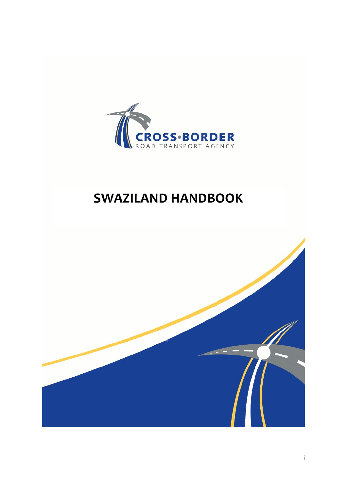

# SWAZILAND HANDBOOK

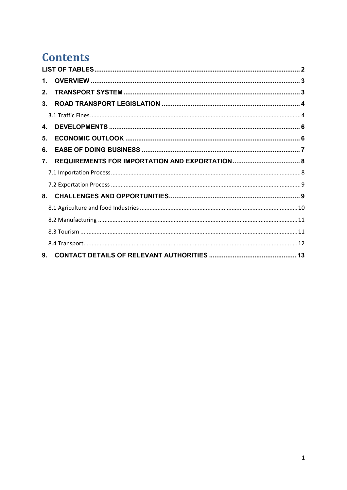# **Contents**

| 1. |  |
|----|--|
| 2. |  |
| 3. |  |
|    |  |
| 4. |  |
| 5. |  |
| 6. |  |
| 7. |  |
|    |  |
|    |  |
| 8. |  |
|    |  |
|    |  |
|    |  |
|    |  |
| 9. |  |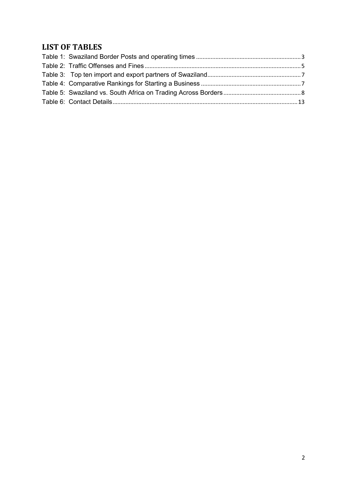## LIST OF TABLES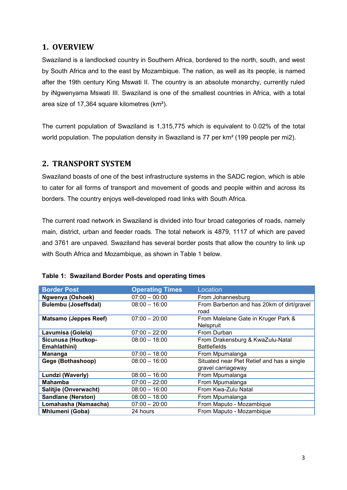## 1. OVERVIEW

Swaziland is a landlocked country in Southern Africa, bordered to the north, south, and west by South Africa and to the east by Mozambique. The nation, as well as its people, is named after the 19th century King Mswati II. The country is an absolute monarchy, currently ruled by iNgwenyama Mswati III. Swaziland is one of the smallest countries in Africa, with a total area size of 17,364 square kilometres (km²).

The current population of Swaziland is 1,315,775 which is equivalent to 0.02% of the total world population. The population density in Swaziland is 77 per km² (199 people per mi2).

## 2. TRANSPORT SYSTEM

Swaziland boasts of one of the best infrastructure systems in the SADC region, which is able to cater for all forms of transport and movement of goods and people within and across its borders. The country enjoys well-developed road links with South Africa.

The current road network in Swaziland is divided into four broad categories of roads, namely main, district, urban and feeder roads. The total network is 4879, 1117 of which are paved and 3761 are unpaved. Swaziland has several border posts that allow the country to link up with South Africa and Mozambique, as shown in Table 1 below.

| <b>Border Post</b>                 | <b>Operating Times</b> | Location                                                |
|------------------------------------|------------------------|---------------------------------------------------------|
| Ngwenya (Oshoek)                   | $07:00 - 00:00$        | From Johannesburg                                       |
| <b>Bulembu (Joseffsdal)</b>        | $08:00 - 16:00$        | From Barberton and has 20km of dirt/gravel<br>road      |
| <b>Matsamo (Jeppes Reef)</b>       | $07:00 - 20:00$        | From Malelane Gate in Kruger Park &<br>Nelspruit        |
| Lavumisa (Golela)                  | $07:00 - 22:00$        | From Durban                                             |
| Sicunusa (Houtkop-<br>Emahlathini) | $08:00 - 18:00$        | From Drakensburg & KwaZulu-Natal<br><b>Battlefields</b> |
|                                    |                        |                                                         |
| <b>Mananga</b>                     | $07:00 - 18:00$        | From Mpumalanga                                         |
| Gege (Bothashoop)                  | $08:00 - 16:00$        | Situated near Piet Retief and has a single              |
|                                    |                        | gravel carriageway                                      |
| Lundzi (Waverly)                   | $08:00 - 16:00$        | From Mpumalanga                                         |
| <b>Mahamba</b>                     | $07:00 - 22:00$        | From Mpumalanga                                         |
| Salitjie (Onverwacht)              | $08:00 - 16:00$        | From Kwa-Zulu Natal                                     |
| <b>Sandlane (Nerston)</b>          | $08:00 - 18:00$        | From Mpumalanga                                         |
| Lomahasha (Namaacha)               | $07:00 - 20:00$        | From Maputo - Mozambique                                |
| Mhlumeni (Goba)                    | 24 hours               | From Maputo - Mozambique                                |

| Table 1: Swaziland Border Posts and operating times |
|-----------------------------------------------------|
|-----------------------------------------------------|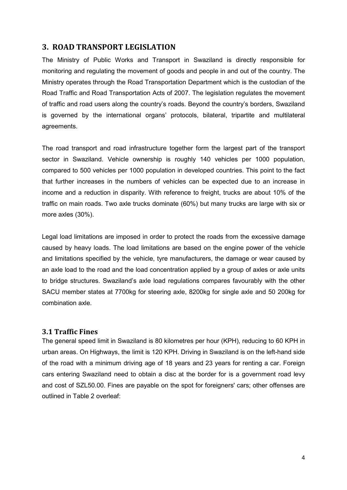## 3. ROAD TRANSPORT LEGISLATION

The Ministry of Public Works and Transport in Swaziland is directly responsible for monitoring and regulating the movement of goods and people in and out of the country. The Ministry operates through the Road Transportation Department which is the custodian of the Road Traffic and Road Transportation Acts of 2007. The legislation regulates the movement of traffic and road users along the country's roads. Beyond the country's borders, Swaziland is governed by the international organs' protocols, bilateral, tripartite and multilateral agreements.

The road transport and road infrastructure together form the largest part of the transport sector in Swaziland. Vehicle ownership is roughly 140 vehicles per 1000 population, compared to 500 vehicles per 1000 population in developed countries. This point to the fact that further increases in the numbers of vehicles can be expected due to an increase in income and a reduction in disparity. With reference to freight, trucks are about 10% of the traffic on main roads. Two axle trucks dominate (60%) but many trucks are large with six or more axles (30%).

Legal load limitations are imposed in order to protect the roads from the excessive damage caused by heavy loads. The load limitations are based on the engine power of the vehicle and limitations specified by the vehicle, tyre manufacturers, the damage or wear caused by an axle load to the road and the load concentration applied by a group of axles or axle units to bridge structures. Swaziland's axle load regulations compares favourably with the other SACU member states at 7700kg for steering axle, 8200kg for single axle and 50 200kg for combination axle.

#### 3.1 Traffic Fines

The general speed limit in Swaziland is 80 kilometres per hour (KPH), reducing to 60 KPH in urban areas. On Highways, the limit is 120 KPH. Driving in Swaziland is on the left-hand side of the road with a minimum driving age of 18 years and 23 years for renting a car. Foreign cars entering Swaziland need to obtain a disc at the border for is a government road levy and cost of SZL50.00. Fines are payable on the spot for foreigners' cars; other offenses are outlined in Table 2 overleaf: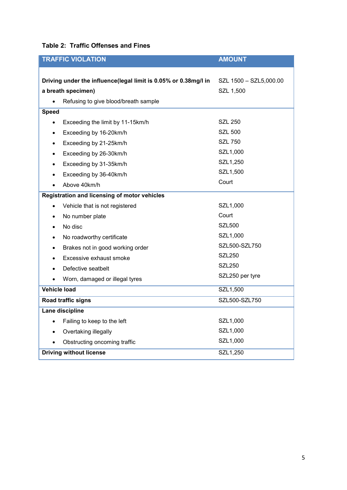| <b>TRAFFIC VIOLATION</b>                                                              | <b>AMOUNT</b>                       |  |  |  |
|---------------------------------------------------------------------------------------|-------------------------------------|--|--|--|
| Driving under the influence(legal limit is 0.05% or 0.38mg/l in<br>a breath specimen) | SZL 1500 - SZL5,000.00<br>SZL 1,500 |  |  |  |
| Refusing to give blood/breath sample                                                  |                                     |  |  |  |
| <b>Speed</b>                                                                          |                                     |  |  |  |
| Exceeding the limit by 11-15km/h<br>$\bullet$                                         | <b>SZL 250</b>                      |  |  |  |
| Exceeding by 16-20km/h<br>٠                                                           | <b>SZL 500</b>                      |  |  |  |
| Exceeding by 21-25km/h<br>٠                                                           | <b>SZL 750</b>                      |  |  |  |
| Exceeding by 26-30km/h<br>٠                                                           | SZL1,000                            |  |  |  |
| Exceeding by 31-35km/h<br>$\bullet$                                                   | SZL1,250                            |  |  |  |
| Exceeding by 36-40km/h<br>٠                                                           | SZL1,500                            |  |  |  |
| Above 40km/h                                                                          | Court                               |  |  |  |
| Registration and licensing of motor vehicles                                          |                                     |  |  |  |
| Vehicle that is not registered                                                        | SZL1,000                            |  |  |  |
| No number plate<br>٠                                                                  | Court                               |  |  |  |
| No disc                                                                               | <b>SZL500</b>                       |  |  |  |
| No roadworthy certificate<br>٠                                                        | SZL1,000                            |  |  |  |
| Brakes not in good working order                                                      | SZL500-SZL750                       |  |  |  |
| Excessive exhaust smoke                                                               | <b>SZL250</b>                       |  |  |  |
| Defective seatbelt                                                                    | <b>SZL250</b>                       |  |  |  |
| Worn, damaged or illegal tyres                                                        | SZL250 per tyre                     |  |  |  |
| Vehicle load                                                                          | SZL1,500                            |  |  |  |
| Road traffic signs                                                                    | SZL500-SZL750                       |  |  |  |
| Lane discipline                                                                       |                                     |  |  |  |
| Failing to keep to the left                                                           | SZL1,000                            |  |  |  |
| Overtaking illegally                                                                  | SZL1,000                            |  |  |  |
| Obstructing oncoming traffic                                                          | SZL1,000                            |  |  |  |
| <b>Driving without license</b>                                                        | SZL1,250                            |  |  |  |

## Table 2: Traffic Offenses and Fines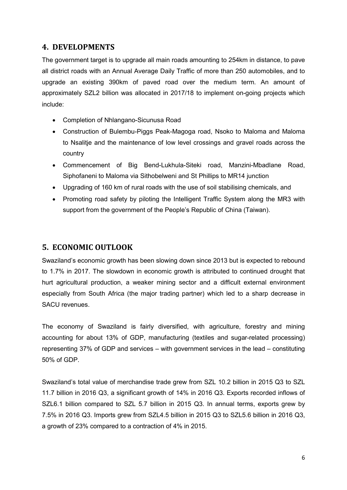## 4. DEVELOPMENTS

The government target is to upgrade all main roads amounting to 254km in distance, to pave all district roads with an Annual Average Daily Traffic of more than 250 automobiles, and to upgrade an existing 390km of paved road over the medium term. An amount of approximately SZL2 billion was allocated in 2017/18 to implement on-going projects which include:

- Completion of Nhlangano-Sicunusa Road
- Construction of Bulembu-Piggs Peak-Magoga road, Nsoko to Maloma and Maloma to Nsalitje and the maintenance of low level crossings and gravel roads across the country
- Commencement of Big Bend-Lukhula-Siteki road, Manzini-Mbadlane Road, Siphofaneni to Maloma via Sithobelweni and St Phillips to MR14 junction
- Upgrading of 160 km of rural roads with the use of soil stabilising chemicals, and
- Promoting road safety by piloting the Intelligent Traffic System along the MR3 with support from the government of the People's Republic of China (Taiwan).

## 5. ECONOMIC OUTLOOK

Swaziland's economic growth has been slowing down since 2013 but is expected to rebound to 1.7% in 2017. The slowdown in economic growth is attributed to continued drought that hurt agricultural production, a weaker mining sector and a difficult external environment especially from South Africa (the major trading partner) which led to a sharp decrease in SACU revenues.

The economy of Swaziland is fairly diversified, with agriculture, forestry and mining accounting for about 13% of GDP, manufacturing (textiles and sugar-related processing) representing 37% of GDP and services – with government services in the lead – constituting 50% of GDP.

Swaziland's total value of merchandise trade grew from SZL 10.2 billion in 2015 Q3 to SZL 11.7 billion in 2016 Q3, a significant growth of 14% in 2016 Q3. Exports recorded inflows of SZL6.1 billion compared to SZL 5.7 billion in 2015 Q3. In annual terms, exports grew by 7.5% in 2016 Q3. Imports grew from SZL4.5 billion in 2015 Q3 to SZL5.6 billion in 2016 Q3, a growth of 23% compared to a contraction of 4% in 2015.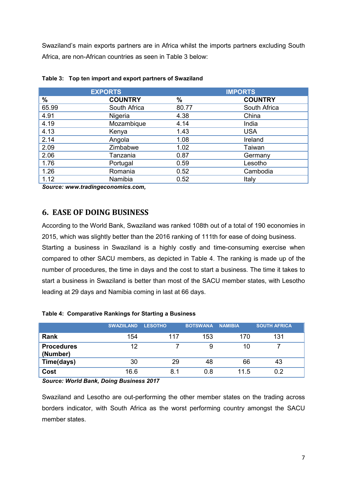Swaziland's main exports partners are in Africa whilst the imports partners excluding South Africa, are non-African countries as seen in Table 3 below:

| <b>EXPORTS</b> | <b>IMPORTS</b> |                |  |
|----------------|----------------|----------------|--|
| <b>COUNTRY</b> | %              | <b>COUNTRY</b> |  |
| South Africa   | 80.77          | South Africa   |  |
| Nigeria        | 4.38           | China          |  |
| Mozambique     | 4.14           | India          |  |
| Kenya          | 1.43           | <b>USA</b>     |  |
| Angola         | 1.08           | Ireland        |  |
| Zimbabwe       | 1.02           | Taiwan         |  |
| Tanzania       | 0.87           | Germany        |  |
| Portugal       | 0.59           | Lesotho        |  |
| Romania        | 0.52           | Cambodia       |  |
| Namibia        | 0.52           | Italy          |  |
|                |                |                |  |

Source: www.tradingeconomics.com,

## 6. EASE OF DOING BUSINESS

According to the World Bank, Swaziland was ranked 108th out of a total of 190 economies in 2015, which was slightly better than the 2016 ranking of 111th for ease of doing business.

Starting a business in Swaziland is a highly costly and time-consuming exercise when compared to other SACU members, as depicted in Table 4. The ranking is made up of the number of procedures, the time in days and the cost to start a business. The time it takes to start a business in Swaziland is better than most of the SACU member states, with Lesotho leading at 29 days and Namibia coming in last at 66 days.

|                               | <b>SWAZIILAND</b> | <b>LESOTHO</b> | <b>BOTSWANA</b> | <b>NAMIBIA</b> | <b>SOUTH AFRICA</b> |
|-------------------------------|-------------------|----------------|-----------------|----------------|---------------------|
| Rank                          | 154               | 117            | 153             | 170            | 131                 |
| <b>Procedures</b><br>(Number) | 12                |                | 9               | 10             |                     |
| Time(days)                    | 30                | 29             | 48              | 66             | 43                  |
| Cost                          | 16.6              | 8.1            | 0.8             | 11.5           | 0.2                 |

#### Table 4: Comparative Rankings for Starting a Business

Source: World Bank, Doing Business 2017

Swaziland and Lesotho are out-performing the other member states on the trading across borders indicator, with South Africa as the worst performing country amongst the SACU member states.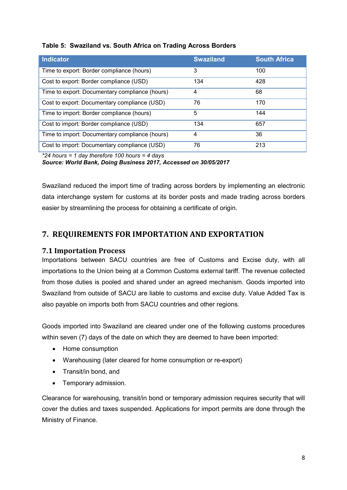| <b>Indicator</b>                               | <b>Swaziland</b> | <b>South Africa</b> |
|------------------------------------------------|------------------|---------------------|
| Time to export: Border compliance (hours)      | 3                | 100                 |
| Cost to export: Border compliance (USD)        | 134              | 428                 |
| Time to export: Documentary compliance (hours) | 4                | 68                  |
| Cost to export: Documentary compliance (USD)   | 76               | 170                 |
| Time to import: Border compliance (hours)      | 5                | 144                 |
| Cost to import: Border compliance (USD)        | 134              | 657                 |
| Time to import: Documentary compliance (hours) | 4                | 36                  |
| Cost to import: Documentary compliance (USD)   | 76               | 213                 |

#### Table 5: Swaziland vs. South Africa on Trading Across Borders

\*24 hours = 1 day therefore 100 hours = 4 days

Source: World Bank, Doing Business 2017, Accessed on 30/05/2017

Swaziland reduced the import time of trading across borders by implementing an electronic data interchange system for customs at its border posts and made trading across borders easier by streamlining the process for obtaining a certificate of origin.

## 7. REQUIREMENTS FOR IMPORTATION AND EXPORTATION

#### 7.1 Importation Process

Importations between SACU countries are free of Customs and Excise duty, with all importations to the Union being at a Common Customs external tariff. The revenue collected from those duties is pooled and shared under an agreed mechanism. Goods imported into Swaziland from outside of SACU are liable to customs and excise duty. Value Added Tax is also payable on imports both from SACU countries and other regions.

Goods imported into Swaziland are cleared under one of the following customs procedures within seven (7) days of the date on which they are deemed to have been imported:

- Home consumption
- Warehousing (later cleared for home consumption or re-export)
- Transit/in bond, and
- Temporary admission.

Clearance for warehousing, transit/in bond or temporary admission requires security that will cover the duties and taxes suspended. Applications for import permits are done through the Ministry of Finance.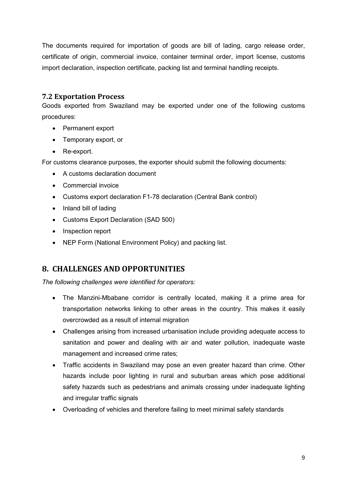The documents required for importation of goods are bill of lading, cargo release order, certificate of origin, commercial invoice, container terminal order, import license, customs import declaration, inspection certificate, packing list and terminal handling receipts.

### 7.2 Exportation Process

Goods exported from Swaziland may be exported under one of the following customs procedures:

- Permanent export
- Temporary export, or
- Re-export.

For customs clearance purposes, the exporter should submit the following documents:

- A customs declaration document
- Commercial invoice
- Customs export declaration F1-78 declaration (Central Bank control)
- Inland bill of lading
- Customs Export Declaration (SAD 500)
- Inspection report
- NEP Form (National Environment Policy) and packing list.

## 8. CHALLENGES AND OPPORTUNITIES

The following challenges were identified for operators:

- The Manzini-Mbabane corridor is centrally located, making it a prime area for transportation networks linking to other areas in the country. This makes it easily overcrowded as a result of internal migration
- Challenges arising from increased urbanisation include providing adequate access to sanitation and power and dealing with air and water pollution, inadequate waste management and increased crime rates;
- Traffic accidents in Swaziland may pose an even greater hazard than crime. Other hazards include poor lighting in rural and suburban areas which pose additional safety hazards such as pedestrians and animals crossing under inadequate lighting and irregular traffic signals
- Overloading of vehicles and therefore failing to meet minimal safety standards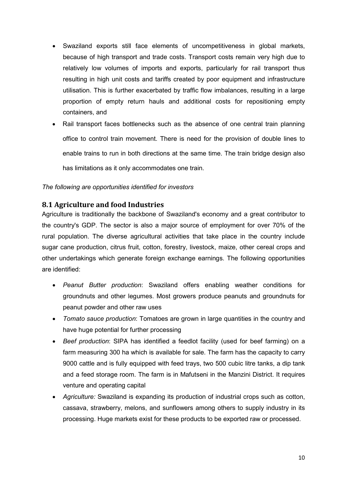- Swaziland exports still face elements of uncompetitiveness in global markets, because of high transport and trade costs. Transport costs remain very high due to relatively low volumes of imports and exports, particularly for rail transport thus resulting in high unit costs and tariffs created by poor equipment and infrastructure utilisation. This is further exacerbated by traffic flow imbalances, resulting in a large proportion of empty return hauls and additional costs for repositioning empty containers, and
- Rail transport faces bottlenecks such as the absence of one central train planning office to control train movement. There is need for the provision of double lines to enable trains to run in both directions at the same time. The train bridge design also has limitations as it only accommodates one train.

#### The following are opportunities identified for investors

#### 8.1 Agriculture and food Industries

Agriculture is traditionally the backbone of Swaziland's economy and a great contributor to the country's GDP. The sector is also a major source of employment for over 70% of the rural population. The diverse agricultural activities that take place in the country include sugar cane production, citrus fruit, cotton, forestry, livestock, maize, other cereal crops and other undertakings which generate foreign exchange earnings. The following opportunities are identified:

- Peanut Butter production: Swaziland offers enabling weather conditions for groundnuts and other legumes. Most growers produce peanuts and groundnuts for peanut powder and other raw uses
- Tomato sauce production: Tomatoes are grown in large quantities in the country and have huge potential for further processing
- Beef production: SIPA has identified a feedlot facility (used for beef farming) on a farm measuring 300 ha which is available for sale. The farm has the capacity to carry 9000 cattle and is fully equipped with feed trays, two 500 cubic litre tanks, a dip tank and a feed storage room. The farm is in Mafutseni in the Manzini District. It requires venture and operating capital
- Agriculture: Swaziland is expanding its production of industrial crops such as cotton, cassava, strawberry, melons, and sunflowers among others to supply industry in its processing. Huge markets exist for these products to be exported raw or processed.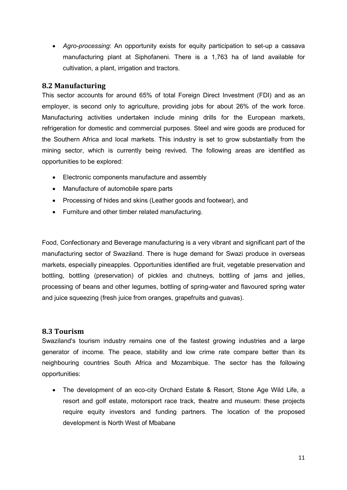Agro-processing: An opportunity exists for equity participation to set-up a cassava manufacturing plant at Siphofaneni. There is a 1,763 ha of land available for cultivation, a plant, irrigation and tractors.

#### 8.2 Manufacturing

This sector accounts for around 65% of total Foreign Direct Investment (FDI) and as an employer, is second only to agriculture, providing jobs for about 26% of the work force. Manufacturing activities undertaken include mining drills for the European markets, refrigeration for domestic and commercial purposes. Steel and wire goods are produced for the Southern Africa and local markets. This industry is set to grow substantially from the mining sector, which is currently being revived. The following areas are identified as opportunities to be explored:

- Electronic components manufacture and assembly
- Manufacture of automobile spare parts
- Processing of hides and skins (Leather goods and footwear), and
- Furniture and other timber related manufacturing.

Food, Confectionary and Beverage manufacturing is a very vibrant and significant part of the manufacturing sector of Swaziland. There is huge demand for Swazi produce in overseas markets, especially pineapples. Opportunities identified are fruit, vegetable preservation and bottling, bottling (preservation) of pickles and chutneys, bottling of jams and jellies, processing of beans and other legumes, bottling of spring-water and flavoured spring water and juice squeezing (fresh juice from oranges, grapefruits and guavas).

#### 8.3 Tourism

Swaziland's tourism industry remains one of the fastest growing industries and a large generator of income. The peace, stability and low crime rate compare better than its neighbouring countries South Africa and Mozambique. The sector has the following opportunities:

 The development of an eco-city Orchard Estate & Resort, Stone Age Wild Life, a resort and golf estate, motorsport race track, theatre and museum: these projects require equity investors and funding partners. The location of the proposed development is North West of Mbabane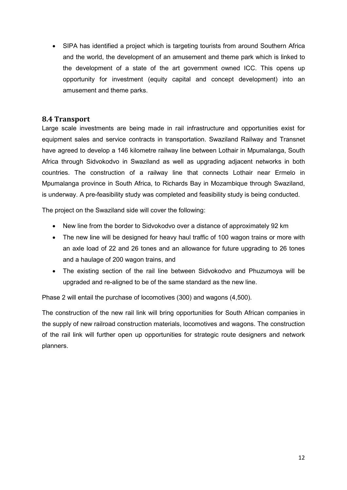SIPA has identified a project which is targeting tourists from around Southern Africa and the world, the development of an amusement and theme park which is linked to the development of a state of the art government owned ICC. This opens up opportunity for investment (equity capital and concept development) into an amusement and theme parks.

#### 8.4 Transport

Large scale investments are being made in rail infrastructure and opportunities exist for equipment sales and service contracts in transportation. Swaziland Railway and Transnet have agreed to develop a 146 kilometre railway line between Lothair in Mpumalanga, South Africa through Sidvokodvo in Swaziland as well as upgrading adjacent networks in both countries. The construction of a railway line that connects Lothair near Ermelo in Mpumalanga province in South Africa, to Richards Bay in Mozambique through Swaziland, is underway. A pre-feasibility study was completed and feasibility study is being conducted.

The project on the Swaziland side will cover the following:

- New line from the border to Sidvokodvo over a distance of approximately 92 km
- The new line will be designed for heavy haul traffic of 100 wagon trains or more with an axle load of 22 and 26 tones and an allowance for future upgrading to 26 tones and a haulage of 200 wagon trains, and
- The existing section of the rail line between Sidvokodvo and Phuzumoya will be upgraded and re-aligned to be of the same standard as the new line.

Phase 2 will entail the purchase of locomotives (300) and wagons (4,500).

The construction of the new rail link will bring opportunities for South African companies in the supply of new railroad construction materials, locomotives and wagons. The construction of the rail link will further open up opportunities for strategic route designers and network planners.